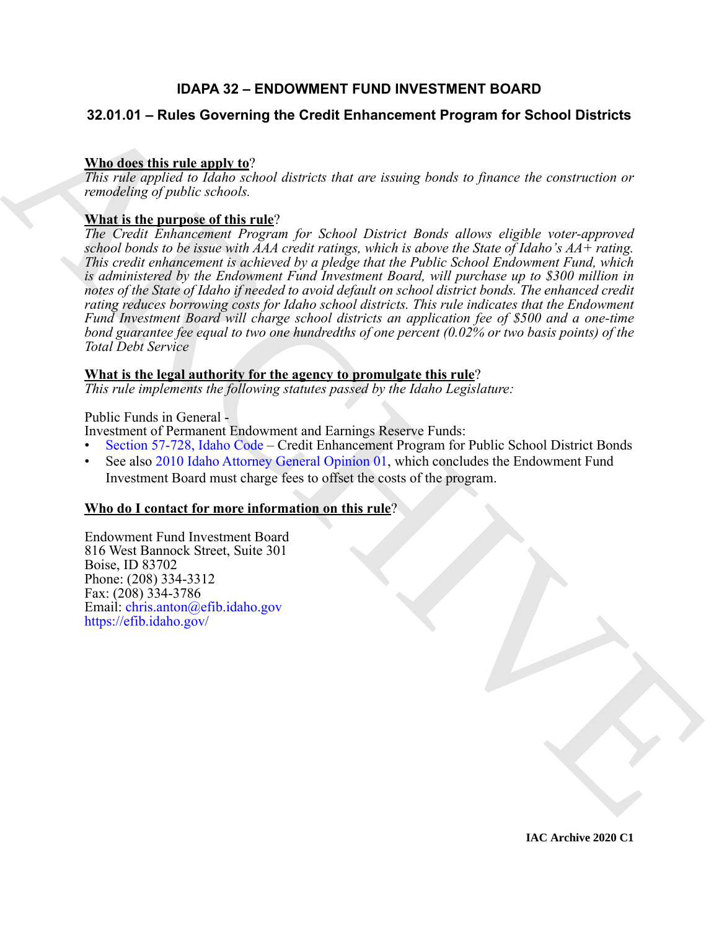### **IDAPA 32 – ENDOWMENT FUND INVESTMENT BOARD**

#### **32.01.01 – Rules Governing the Credit Enhancement Program for School Districts**

#### **Who does this rule apply to**?

*This rule applied to Idaho school districts that are issuing bonds to finance the construction or remodeling of public schools.*

#### **What is the purpose of this rule**?

32.041.64 – Rules Governing the Credit Enhancement Program for School Districts<br>
When the migrantic plane is not district that are issuing bonds to finance the construction or<br>
The rule approximate the construction of the *The Credit Enhancement Program for School District Bonds allows eligible voter-approved school bonds to be issue with AAA credit ratings, which is above the State of Idaho's AA+ rating. This credit enhancement is achieved by a pledge that the Public School Endowment Fund, which is administered by the Endowment Fund Investment Board, will purchase up to \$300 million in notes of the State of Idaho if needed to avoid default on school district bonds. The enhanced credit rating reduces borrowing costs for Idaho school districts. This rule indicates that the Endowment Fund Investment Board will charge school districts an application fee of \$500 and a one-time bond guarantee fee equal to two one hundredths of one percent (0.02% or two basis points) of the Total Debt Service*

#### **What is the legal authority for the agency to promulgate this rule**?

*This rule implements the following statutes passed by the Idaho Legislature:*

Public Funds in General -

Investment of Permanent Endowment and Earnings Reserve Funds:

- Section 57-728, Idaho Code Credit Enhancement Program for Public School District Bonds
- See also 2010 Idaho Attorney General Opinion 01, which concludes the Endowment Fund Investment Board must charge fees to offset the costs of the program.

#### **Who do I contact for more information on this rule**?

Endowment Fund Investment Board 816 West Bannock Street, Suite 301 Boise, ID 83702 Phone: (208) 334-3312 Fax: (208) 334-3786 Email: chris.anton@efib.idaho.gov https://efib.idaho.gov/

**IAC Archive 2020 C1**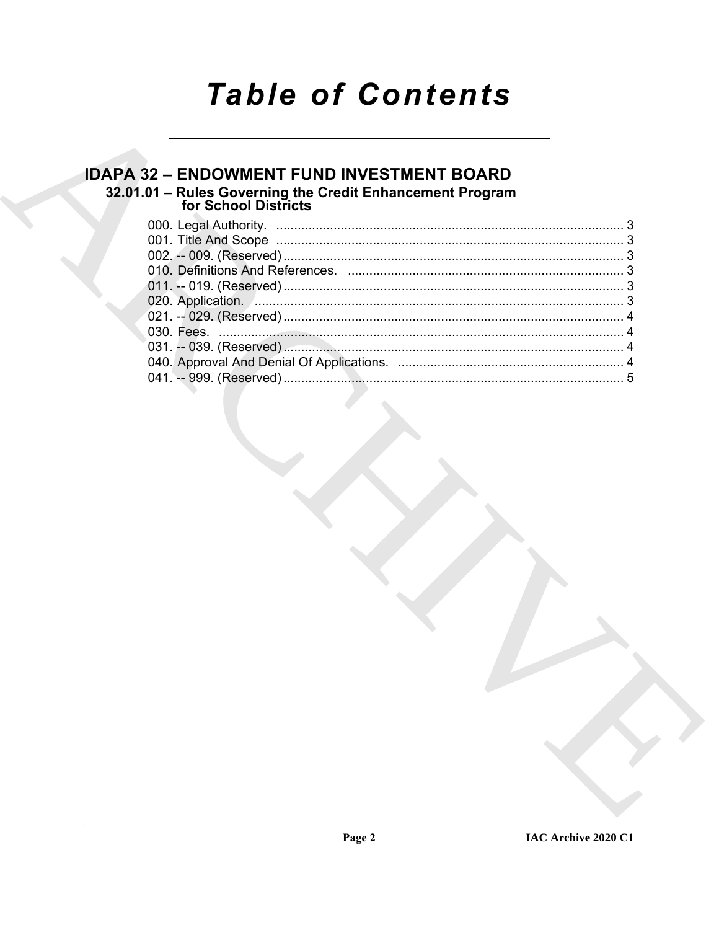# **Table of Contents**

### **IDAPA 32 - ENDOWMENT FUND INVESTMENT BOARD** 32.01.01 - Rules Governing the Credit Enhancement Program<br>for School Districts

| 020. Application. <b>2006.</b> 2006. 2007. 2010. 2010. 2010. 2010. 2010. 2010. 2010. 2010. 2010. 2010. 2010. 2010. 2010. 2010. 2010. 2010. 2010. 2010. 2010. 2010. 2010. 2010. 2010. 2010. 2010. 2010. 2010. 2010. 2010. 2010. 2010 |  |
|-------------------------------------------------------------------------------------------------------------------------------------------------------------------------------------------------------------------------------------|--|
|                                                                                                                                                                                                                                     |  |
|                                                                                                                                                                                                                                     |  |
|                                                                                                                                                                                                                                     |  |
|                                                                                                                                                                                                                                     |  |
|                                                                                                                                                                                                                                     |  |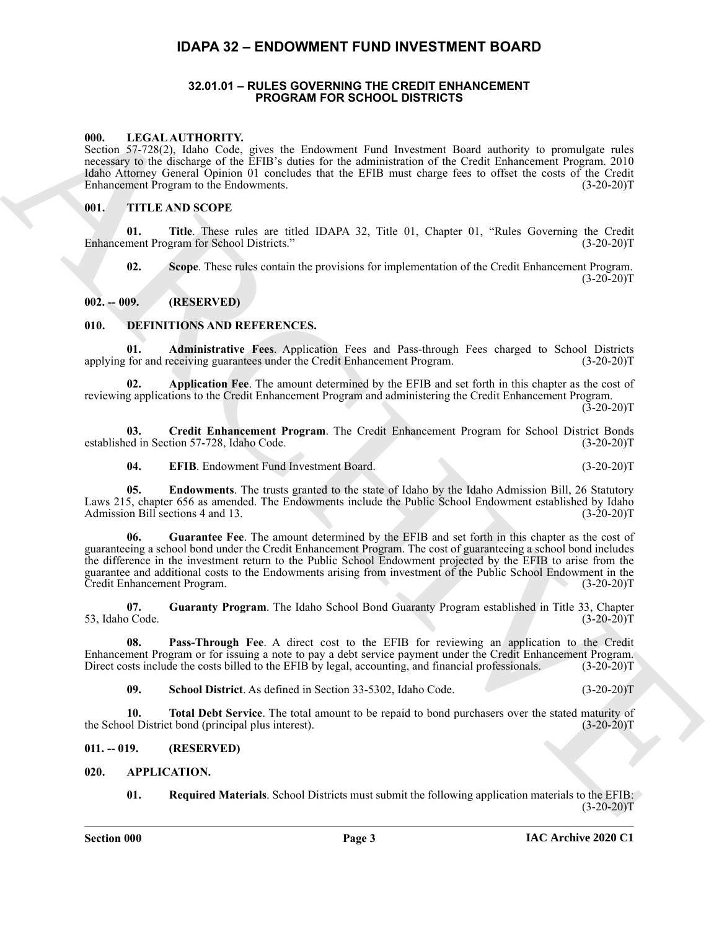#### <span id="page-2-0"></span>**IDAPA 32 – ENDOWMENT FUND INVESTMENT BOARD**

#### **32.01.01 – RULES GOVERNING THE CREDIT ENHANCEMENT PROGRAM FOR SCHOOL DISTRICTS**

#### <span id="page-2-21"></span><span id="page-2-2"></span><span id="page-2-1"></span>**000. LEGAL AUTHORITY.**

Section 57-728(2), Idaho Code, gives the Endowment Fund Investment Board authority to promulgate rules necessary to the discharge of the EFIB's duties for the administration of the Credit Enhancement Program. 2010 Idaho Attorney General Opinion 01 concludes that the EFIB must charge fees to offset the costs of the Credit Enhancement Program to the Endowments. (3-20-20)T

#### <span id="page-2-22"></span><span id="page-2-3"></span>**001. TITLE AND SCOPE**

**01. Title**. These rules are titled IDAPA 32, Title 01, Chapter 01, "Rules Governing the Credit Enhancement Program for School Districts." (3-20-20)T

**02. Scope**. These rules contain the provisions for implementation of the Credit Enhancement Program.  $(3-20-20)T$ 

#### <span id="page-2-4"></span>**002. -- 009. (RESERVED)**

#### <span id="page-2-10"></span><span id="page-2-5"></span>**010. DEFINITIONS AND REFERENCES.**

<span id="page-2-11"></span>**01. Administrative Fees**. Application Fees and Pass-through Fees charged to School Districts for and receiving guarantees under the Credit Enhancement Program. (3-20-20)T applying for and receiving guarantees under the Credit Enhancement Program.

<span id="page-2-12"></span>**02. Application Fee**. The amount determined by the EFIB and set forth in this chapter as the cost of reviewing applications to the Credit Enhancement Program and administering the Credit Enhancement Program.  $(3-20-20)T$ 

**03. Credit Enhancement Program**. The Credit Enhancement Program for School District Bonds established in Section 57-728, Idaho Code. (3-20-20)T

<span id="page-2-16"></span><span id="page-2-15"></span><span id="page-2-14"></span><span id="page-2-13"></span>**04. EFIB**. Endowment Fund Investment Board. (3-20-20)T

**05. Endowments**. The trusts granted to the state of Idaho by the Idaho Admission Bill, 26 Statutory Laws 215, chapter 656 as amended. The Endowments include the Public School Endowment established by Idaho Admission Bill sections 4 and 13. (3-20-20) T

600. LEGAL AUTHORITY.<br>
Scale Second System for Theorem and First discussions Ford and First discussions Form and First discussions in<br>
FRANCHIVEN CONSULTATION (FORM CONTINUES).<br>
THE ARD SCOTT RESULTATION CONTINUES IN THE **06. Guarantee Fee**. The amount determined by the EFIB and set forth in this chapter as the cost of guaranteeing a school bond under the Credit Enhancement Program. The cost of guaranteeing a school bond includes the difference in the investment return to the Public School Endowment projected by the EFIB to arise from the guarantee and additional costs to the Endowments arising from investment of the Public School Endowment in the<br>Credit Enhancement Program. (3-20-20)T Credit Enhancement Program.

<span id="page-2-17"></span>**07.** Guaranty Program. The Idaho School Bond Guaranty Program established in Title 33, Chapter of Code. (3-20-20) 53, Idaho Code.

**08. Pass-Through Fee**. A direct cost to the EFIB for reviewing an application to the Credit Enhancement Program or for issuing a note to pay a debt service payment under the Credit Enhancement Program. Direct costs include the costs billed to the EFIB by legal, accounting, and financial professionals. (3-20-20)T

<span id="page-2-20"></span><span id="page-2-19"></span><span id="page-2-18"></span>**09. School District**. As defined in Section 33-5302, Idaho Code. (3-20-20)T

**10. Total Debt Service**. The total amount to be repaid to bond purchasers over the stated maturity of the School District bond (principal plus interest). (3-20-20)T

#### <span id="page-2-6"></span>**011. -- 019. (RESERVED)**

#### <span id="page-2-7"></span>**020. APPLICATION.**

<span id="page-2-9"></span><span id="page-2-8"></span>**01. Required Materials**. School Districts must submit the following application materials to the EFIB:  $(3-20-20)T$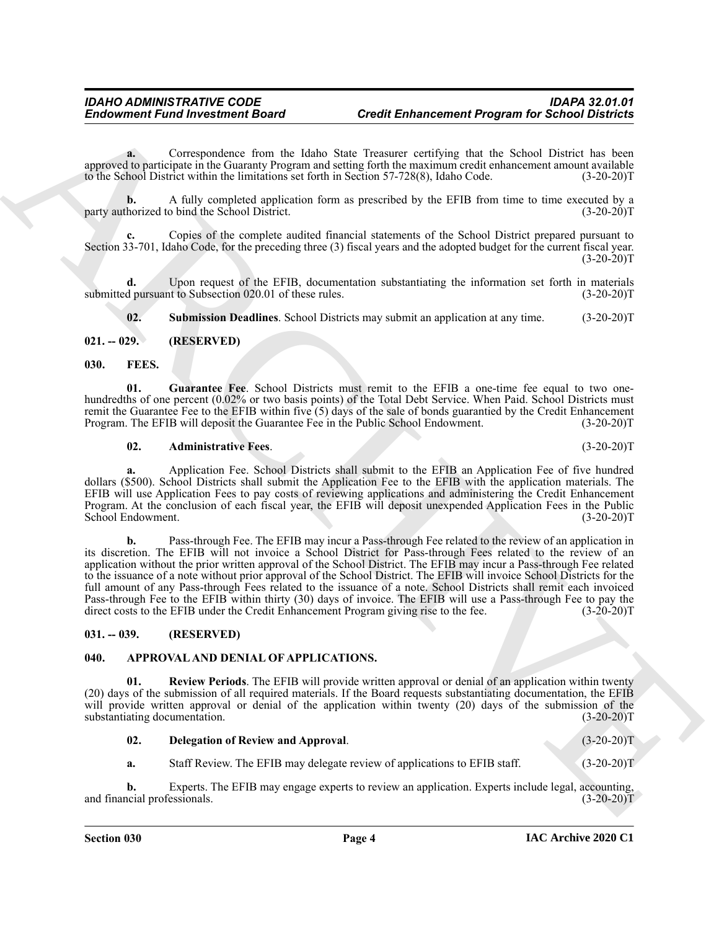**a.** Correspondence from the Idaho State Treasurer certifying that the School District has been approved to participate in the Guaranty Program and setting forth the maximum credit enhancement amount available<br>to the School District within the limitations set forth in Section 57-728(8). Idaho Code. (3-20-20)T to the School District within the limitations set forth in Section 57-728(8), Idaho Code.

**b.** A fully completed application form as prescribed by the EFIB from time to time executed by a horized to bind the School District. (3-20-20) party authorized to bind the School District.

**c.** Copies of the complete audited financial statements of the School District prepared pursuant to Section 33-701, Idaho Code, for the preceding three (3) fiscal years and the adopted budget for the current fiscal year.  $(3-20-20)T$ 

**d.** Upon request of the EFIB, documentation substantiating the information set forth in materials submitted pursuant to Subsection 020.01 of these rules. (3-20-20)T

<span id="page-3-10"></span><span id="page-3-8"></span><span id="page-3-4"></span>**02. Submission Deadlines**. School Districts may submit an application at any time. (3-20-20)T

#### <span id="page-3-0"></span>**021. -- 029. (RESERVED)**

#### <span id="page-3-1"></span>**030. FEES.**

**01. Guarantee Fee**. School Districts must remit to the EFIB a one-time fee equal to two onehundredths of one percent (0.02% or two basis points) of the Total Debt Service. When Paid. School Districts must remit the Guarantee Fee to the EFIB within five (5) days of the sale of bonds guarantied by the Credit Enhancement Program. The EFIB will deposit the Guarantee Fee in the Public School Endowment. (3-20-20)T

#### <span id="page-3-9"></span>**02. Administrative Fees**. (3-20-20)T

**a.** Application Fee. School Districts shall submit to the EFIB an Application Fee of five hundred dollars (\$500). School Districts shall submit the Application Fee to the EFIB with the application materials. The EFIB will use Application Fees to pay costs of reviewing applications and administering the Credit Enhancement Program. At the conclusion of each fiscal year, the EFIB will deposit unexpended Application Fees in the Public School Endowment. (3-20-20)T

Endowment Functions distributed to the Unit of the Unit of the Hamptonia and the School Distributed to the Unit of the Unit of the Unit of the Unit of the Unit of the Unit of the Unit of the Unit of the Unit of the Unit o **b.** Pass-through Fee. The EFIB may incur a Pass-through Fee related to the review of an application in its discretion. The EFIB will not invoice a School District for Pass-through Fees related to the review of an application without the prior written approval of the School District. The EFIB may incur a Pass-through Fee related to the issuance of a note without prior approval of the School District. The EFIB will invoice School Districts for the full amount of any Pass-through Fees related to the issuance of a note. School Districts shall remit each invoiced Pass-through Fee to the EFIB within thirty (30) days of invoice. The EFIB will use a Pass-through Fee to pay the direct costs to the EFIB under the Credit Enhancement Program giving rise to the fee. (3-20-20)T direct costs to the EFIB under the Credit Enhancement Program giving rise to the fee.

#### <span id="page-3-2"></span>**031. -- 039. (RESERVED)**

#### <span id="page-3-5"></span><span id="page-3-3"></span>**040. APPROVAL AND DENIAL OF APPLICATIONS.**

**01. Review Periods**. The EFIB will provide written approval or denial of an application within twenty (20) days of the submission of all required materials. If the Board requests substantiating documentation, the EFIB will provide written approval or denial of the application within twenty (20) days of the submission of the substantiating documentation. (3-20-20)T substantiating documentation.

#### <span id="page-3-7"></span><span id="page-3-6"></span>**02. Delegation of Review and Approval**. (3-20-20)T

**a.** Staff Review. The EFIB may delegate review of applications to EFIB staff.  $(3-20-20)T$ 

**b.** Experts. The EFIB may engage experts to review an application. Experts include legal, accounting, and financial professionals. (3-20-20)T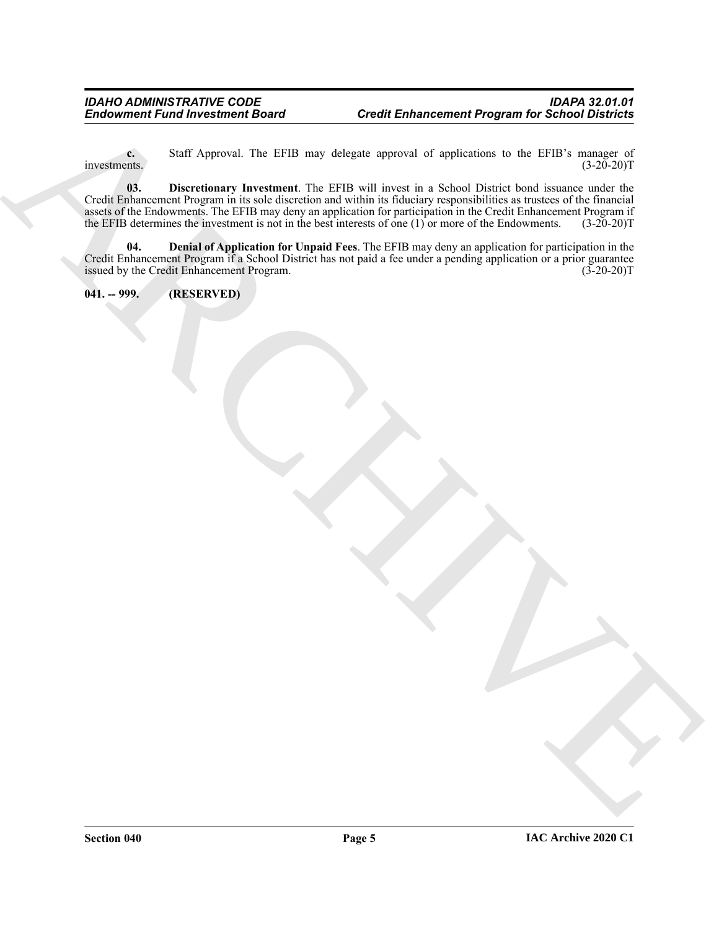<span id="page-4-2"></span>**c.** Staff Approval. The EFIB may delegate approval of applications to the EFIB's manager of investments.  $(3-20-20)T$ 

Endowment Fund investment Roard<br>  $\frac{S=1}{2}$  Append. The EFB may dispute approach of applications to the EFB is reached to the Control of the Control of the Control of the Control of the Control of the Control of the Cont **03. Discretionary Investment**. The EFIB will invest in a School District bond issuance under the Credit Enhancement Program in its sole discretion and within its fiduciary responsibilities as trustees of the financial assets of the Endowments. The EFIB may deny an application for participation in the Credit Enhancement Program if the EFIB determines the investment is not in the best interests of one (1) or more of the Endowments. (3-20-20)T

<span id="page-4-1"></span>**04. Denial of Application for Unpaid Fees**. The EFIB may deny an application for participation in the Credit Enhancement Program if a School District has not paid a fee under a pending application or a prior guarantee issued by the Credit Enhancement Program.

<span id="page-4-0"></span>**041. -- 999. (RESERVED)**